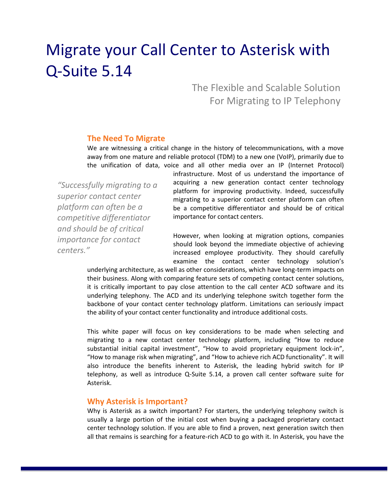# Migrate your Call Center to Asterisk with Q-Suite 5.14

The Flexible and Scalable Solution For Migrating to IP Telephony

#### **The Need To Migrate**

We are witnessing a critical change in the history of telecommunications, with a move away from one mature and reliable protocol (TDM) to a new one (VoIP), primarily due to the unification of data, voice and all other media over an IP (Internet Protocol)

*"Successfully migrating to a superior contact center platform can often be a competitive differentiator and should be of critical importance for contact centers."*

infrastructure. Most of us understand the importance of acquiring a new generation contact center technology platform for improving productivity. Indeed, successfully migrating to a superior contact center platform can often be a competitive differentiator and should be of critical importance for contact centers.

However, when looking at migration options, companies should look beyond the immediate objective of achieving increased employee productivity. They should carefully examine the contact center technology solution's

underlying architecture, as well as other considerations, which have long-term impacts on their business. Along with comparing feature sets of competing contact center solutions, it is critically important to pay close attention to the call center ACD software and its underlying telephony. The ACD and its underlying telephone switch together form the backbone of your contact center technology platform. Limitations can seriously impact the ability of your contact center functionality and introduce additional costs.

This white paper will focus on key considerations to be made when selecting and migrating to a new contact center technology platform, including "How to reduce substantial initial capital investment", "How to avoid proprietary equipment lock-in", "How to manage risk when migrating", and "How to achieve rich ACD functionality". It will also introduce the benefits inherent to Asterisk, the leading hybrid switch for IP telephony, as well as introduce Q-Suite 5.14, a proven call center software suite for Asterisk.

### **Why Asterisk is Important?**

Why is Asterisk as a switch important? For starters, the underlying telephony switch is usually a large portion of the initial cost when buying a packaged proprietary contact center technology solution. If you are able to find a proven, next generation switch then all that remains is searching for a feature-rich ACD to go with it. In Asterisk, you have the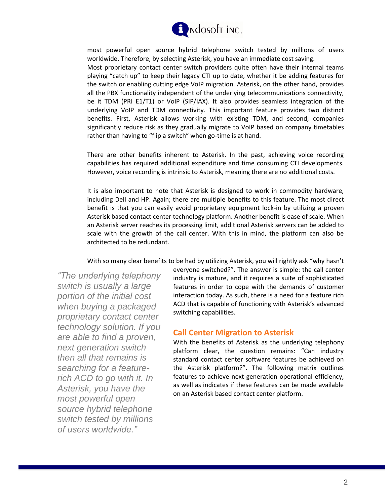

most powerful open source hybrid telephone switch tested by millions of users worldwide. Therefore, by selecting Asterisk, you have an immediate cost saving.

Most proprietary contact center switch providers quite often have their internal teams playing "catch up" to keep their legacy CTI up to date, whether it be adding features for the switch or enabling cutting edge VoIP migration. Asterisk, on the other hand, provides all the PBX functionality independent of the underlying telecommunications connectivity, be it TDM (PRI E1/T1) or VoIP (SIP/IAX). It also provides seamless integration of the underlying VoIP and TDM connectivity. This important feature provides two distinct benefits. First, Asterisk allows working with existing TDM, and second, companies significantly reduce risk as they gradually migrate to VoIP based on company timetables rather than having to "flip a switch" when go-time is at hand.

There are other benefits inherent to Asterisk. In the past, achieving voice recording capabilities has required additional expenditure and time consuming CTI developments. However, voice recording is intrinsic to Asterisk, meaning there are no additional costs.

It is also important to note that Asterisk is designed to work in commodity hardware, including Dell and HP. Again; there are multiple benefits to this feature. The most direct benefit is that you can easily avoid proprietary equipment lock-in by utilizing a proven Asterisk based contact center technology platform. Another benefit is ease of scale. When an Asterisk server reaches its processing limit, additional Asterisk servers can be added to scale with the growth of the call center. With this in mind, the platform can also be architected to be redundant.

With so many clear benefits to be had by utilizing Asterisk, you will rightly ask "why hasn't

*"The underlying telephony switch is usually a large portion of the initial cost when buying a packaged proprietary contact center technology solution. If you are able to find a proven, next generation switch then all that remains is searching for a featurerich ACD to go with it. In Asterisk, you have the most powerful open source hybrid telephone switch tested by millions of users worldwide."*

everyone switched?". The answer is simple: the call center industry is mature, and it requires a suite of sophisticated features in order to cope with the demands of customer interaction today. As such, there is a need for a feature rich ACD that is capable of functioning with Asterisk's advanced switching capabilities.

## **Call Center Migration to Asterisk**

With the benefits of Asterisk as the underlying telephony platform clear, the question remains: "Can industry standard contact center software features be achieved on the Asterisk platform?". The following matrix outlines features to achieve next generation operational efficiency, as well as indicates if these features can be made available on an Asterisk based contact center platform.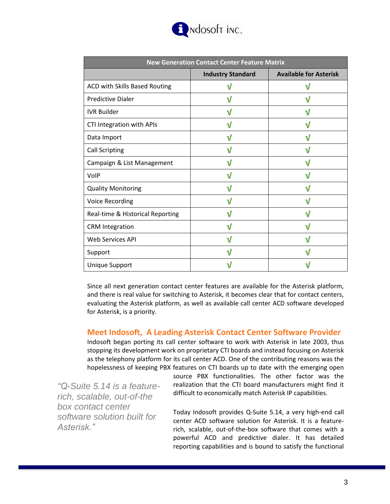

| <b>New Generation Contact Center Feature Matrix</b> |                          |                               |
|-----------------------------------------------------|--------------------------|-------------------------------|
|                                                     | <b>Industry Standard</b> | <b>Available for Asterisk</b> |
| ACD with Skills Based Routing                       |                          | V                             |
| <b>Predictive Dialer</b>                            | V                        | V                             |
| <b>IVR Builder</b>                                  |                          |                               |
| CTI Integration with APIs                           | V                        | V                             |
| Data Import                                         | V                        | V                             |
| <b>Call Scripting</b>                               | V                        | V                             |
| Campaign & List Management                          | V                        | V                             |
| VolP                                                |                          |                               |
| <b>Quality Monitoring</b>                           | V                        | V                             |
| <b>Voice Recording</b>                              | V                        | V                             |
| Real-time & Historical Reporting                    | V                        | V                             |
| <b>CRM</b> Integration                              |                          |                               |
| <b>Web Services API</b>                             |                          | V                             |
| Support                                             | V                        | V                             |
| <b>Unique Support</b>                               |                          |                               |

Since all next generation contact center features are available for the Asterisk platform, and there is real value for switching to Asterisk, it becomes clear that for contact centers, evaluating the Asterisk platform, as well as available call center ACD software developed for Asterisk, is a priority.

## **Meet Indosoft, A Leading Asterisk Contact Center Software Provider**

Indosoft began porting its call center software to work with Asterisk in late 2003, thus stopping its development work on proprietary CTI boards and instead focusing on Asterisk as the telephony platform for its call center ACD. One of the contributing reasons was the hopelessness of keeping PBX features on CTI boards up to date with the emerging open

*"Q-Suite 5.14 is a featurerich, scalable, out-of-the box contact center software solution built for Asterisk."*

source PBX functionalities. The other factor was the realization that the CTI board manufacturers might find it difficult to economically match Asterisk IP capabilities.

Today Indosoft provides Q-Suite 5.14, a very high-end call center ACD software solution for Asterisk. It is a featurerich, scalable, out-of-the-box software that comes with a powerful ACD and predictive dialer. It has detailed reporting capabilities and is bound to satisfy the functional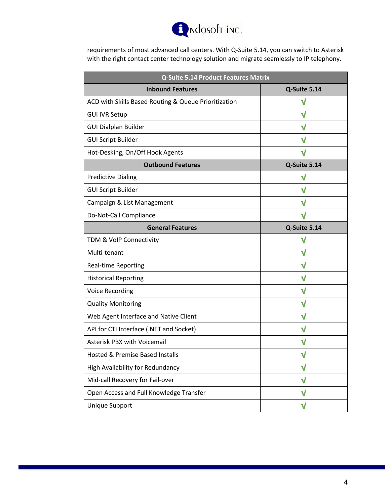

requirements of most advanced call centers. With Q-Suite 5.14, you can switch to Asterisk with the right contact center technology solution and migrate seamlessly to IP telephony.

| <b>Q-Suite 5.14 Product Features Matrix</b>          |              |  |
|------------------------------------------------------|--------------|--|
| <b>Inbound Features</b>                              | Q-Suite 5.14 |  |
| ACD with Skills Based Routing & Queue Prioritization | $\mathsf{V}$ |  |
| <b>GUI IVR Setup</b>                                 | V            |  |
| <b>GUI Dialplan Builder</b>                          | V            |  |
| <b>GUI Script Builder</b>                            | $\sf V$      |  |
| Hot-Desking, On/Off Hook Agents                      | $\mathsf{V}$ |  |
| <b>Outbound Features</b>                             | Q-Suite 5.14 |  |
| <b>Predictive Dialing</b>                            | $\sf V$      |  |
| <b>GUI Script Builder</b>                            | $\mathbf v$  |  |
| Campaign & List Management                           | V            |  |
| Do-Not-Call Compliance                               | V            |  |
| <b>General Features</b>                              | Q-Suite 5.14 |  |
| TDM & VoIP Connectivity                              | $\sf V$      |  |
| Multi-tenant                                         | V            |  |
| <b>Real-time Reporting</b>                           | V            |  |
| <b>Historical Reporting</b>                          | V            |  |
| <b>Voice Recording</b>                               | V            |  |
| <b>Quality Monitoring</b>                            | V            |  |
| Web Agent Interface and Native Client                | $\mathbf v$  |  |
| API for CTI Interface (.NET and Socket)              | V            |  |
| <b>Asterisk PBX with Voicemail</b>                   | V            |  |
| Hosted & Premise Based Installs                      | V            |  |
| High Availability for Redundancy                     | V            |  |
| Mid-call Recovery for Fail-over                      | $\sf v$      |  |
| Open Access and Full Knowledge Transfer              | V            |  |
| <b>Unique Support</b>                                | $\sf V$      |  |